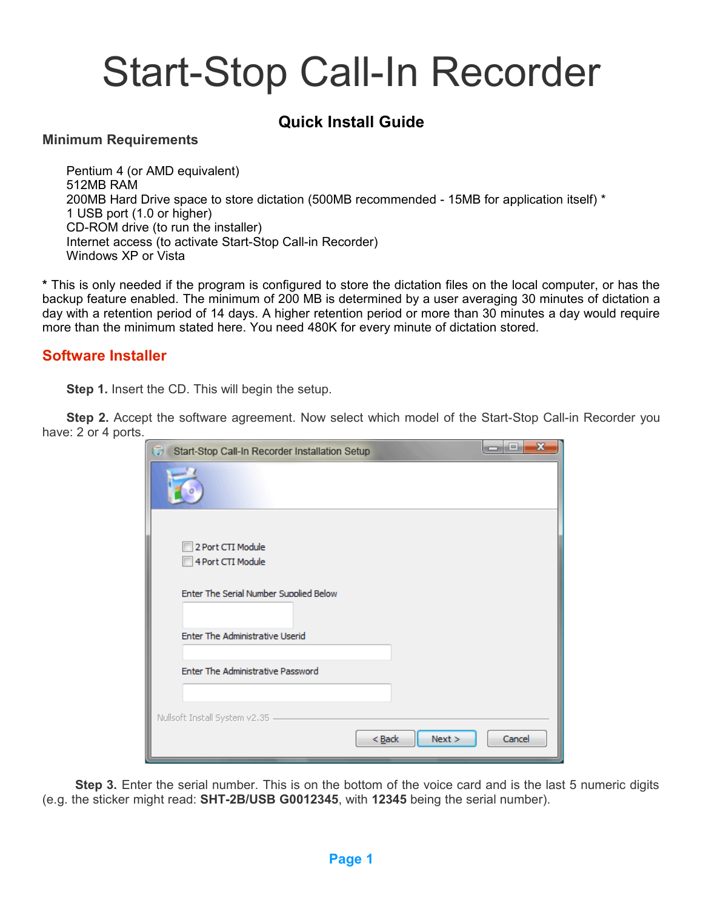# Start-Stop Call-In Recorder

# **Quick Install Guide**

#### **Minimum Requirements**

Pentium 4 (or AMD equivalent) 512MB RAM 200MB Hard Drive space to store dictation (500MB recommended - 15MB for application itself) \* 1 USB port (1.0 or higher) CD-ROM drive (to run the installer) Internet access (to activate Start-Stop Call-in Recorder) Windows XP or Vista

**\*** This is only needed if the program is configured to store the dictation files on the local computer, or has the backup feature enabled. The minimum of 200 MB is determined by a user averaging 30 minutes of dictation a day with a retention period of 14 days. A higher retention period or more than 30 minutes a day would require more than the minimum stated here. You need 480K for every minute of dictation stored.

## **Software Installer**

**Step 1.** Insert the CD. This will begin the setup.

**Step 2.** Accept the software agreement. Now select which model of the Start-Stop Call-in Recorder you have: 2 or 4 ports.

| Start-Stop Call-In Recorder Installation Setup | x<br>al mi<br><b>COLLECTION</b> |
|------------------------------------------------|---------------------------------|
|                                                |                                 |
| 2 Port CTI Module<br>4 Port CTI Module         |                                 |
| Enter The Serial Number Supplied Below         |                                 |
| Enter The Administrative Userid                |                                 |
| Enter The Administrative Password              |                                 |
| Nullsoft Install System v2.35                  | Next<br>Cancel<br>$Back$        |

**Step 3.** Enter the serial number. This is on the bottom of the voice card and is the last 5 numeric digits (e.g. the sticker might read: **SHT-2B/USB G0012345**, with **12345** being the serial number).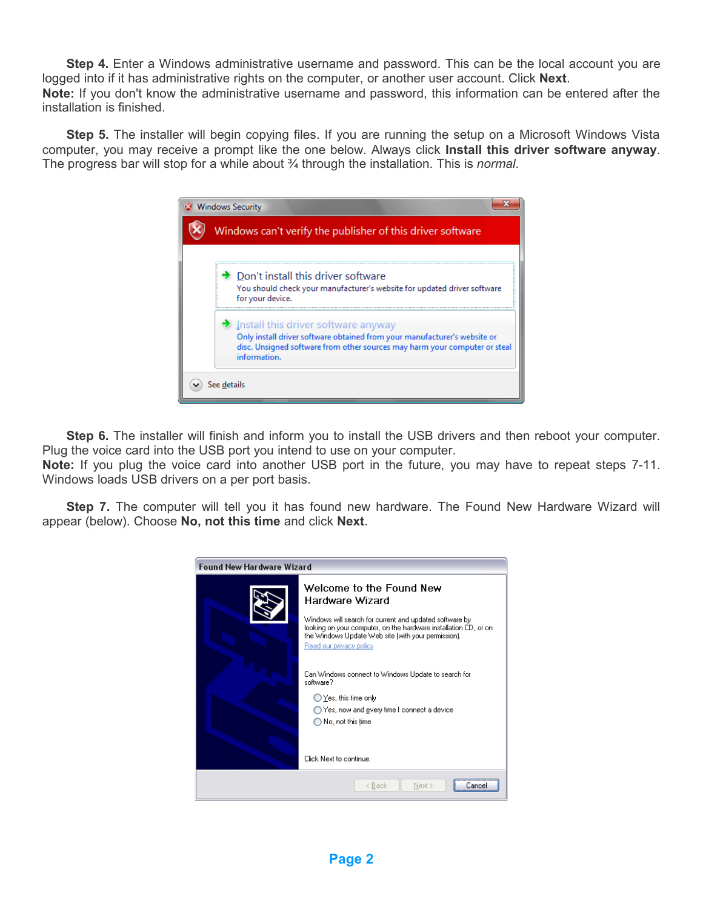**Step 4.** Enter a Windows administrative username and password. This can be the local account you are logged into if it has administrative rights on the computer, or another user account. Click **Next**. **Note:** If you don't know the administrative username and password, this information can be entered after the installation is finished.

**Step 5.** The installer will begin copying files. If you are running the setup on a Microsoft Windows Vista computer, you may receive a prompt like the one below. Always click **Install this driver software anyway**. The progress bar will stop for a while about ¾ through the installation. This is *normal*.



**Step 6.** The installer will finish and inform you to install the USB drivers and then reboot your computer. Plug the voice card into the USB port you intend to use on your computer.

**Note:** If you plug the voice card into another USB port in the future, you may have to repeat steps 7-11. Windows loads USB drivers on a per port basis.

**Step 7.** The computer will tell you it has found new hardware. The Found New Hardware Wizard will appear (below). Choose **No, not this time** and click **Next**.